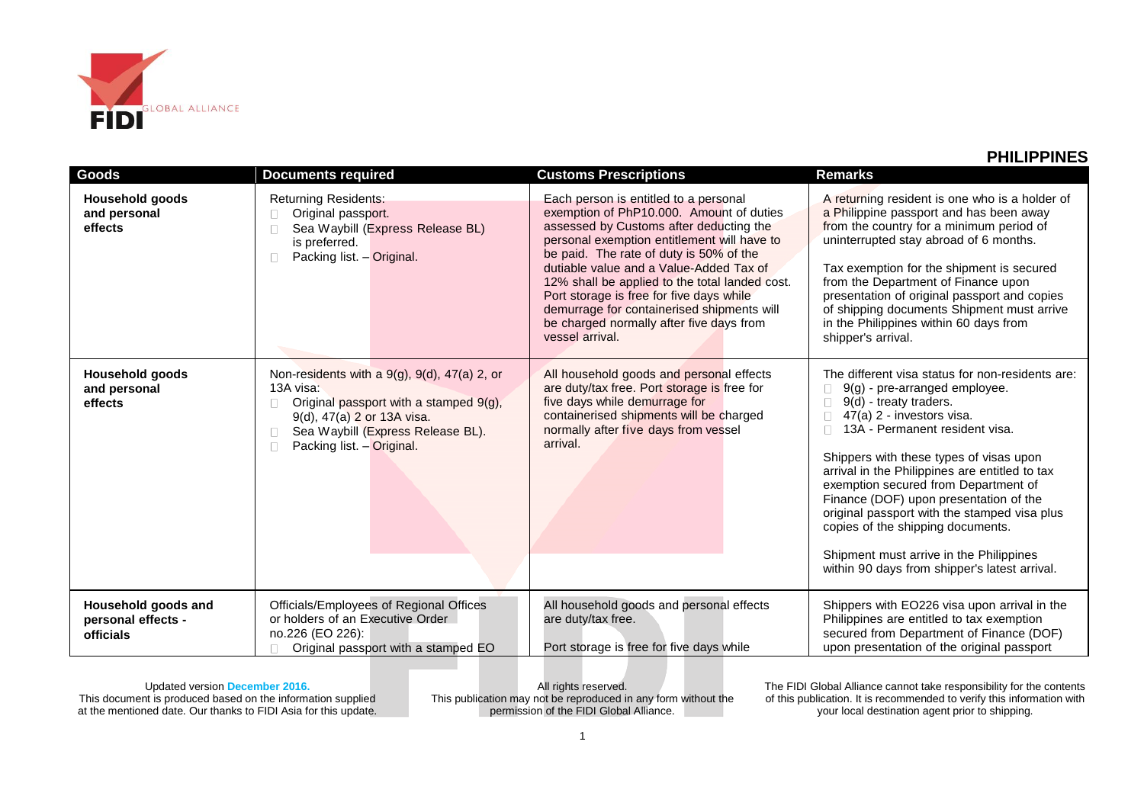

| Goods                                                         | <b>Documents required</b>                                                                                                                                                                           | <b>Customs Prescriptions</b>                                                                                                                                                                                                                                                                                                                                                                                                                                                 | <b>Remarks</b>                                                                                                                                                                                                                                                                                                                                                                                                                                                                                                                             |
|---------------------------------------------------------------|-----------------------------------------------------------------------------------------------------------------------------------------------------------------------------------------------------|------------------------------------------------------------------------------------------------------------------------------------------------------------------------------------------------------------------------------------------------------------------------------------------------------------------------------------------------------------------------------------------------------------------------------------------------------------------------------|--------------------------------------------------------------------------------------------------------------------------------------------------------------------------------------------------------------------------------------------------------------------------------------------------------------------------------------------------------------------------------------------------------------------------------------------------------------------------------------------------------------------------------------------|
| Household goods<br>and personal<br>effects                    | <b>Returning Residents:</b><br>Original passport.<br>Sea Waybill (Express Release BL)<br>is preferred.<br>Packing list. - Original.<br>П.                                                           | Each person is entitled to a personal<br>exemption of PhP10.000. Amount of duties<br>assessed by Customs after deducting the<br>personal exemption entitlement will have to<br>be paid. The rate of duty is 50% of the<br>dutiable value and a Value-Added Tax of<br>12% shall be applied to the total landed cost.<br>Port storage is free for five days while<br>demurrage for containerised shipments will<br>be charged normally after five days from<br>vessel arrival. | A returning resident is one who is a holder of<br>a Philippine passport and has been away<br>from the country for a minimum period of<br>uninterrupted stay abroad of 6 months.<br>Tax exemption for the shipment is secured<br>from the Department of Finance upon<br>presentation of original passport and copies<br>of shipping documents Shipment must arrive<br>in the Philippines within 60 days from<br>shipper's arrival.                                                                                                          |
| Household goods<br>and personal<br>effects                    | Non-residents with a 9(g), 9(d), 47(a) 2, or<br>13A visa:<br>Original passport with a stamped 9(g),<br>9(d), 47(a) 2 or 13A visa.<br>Sea Waybill (Express Release BL).<br>Packing list. - Original. | All household goods and personal effects<br>are duty/tax free. Port storage is free for<br>five days while demurrage for<br>containerised shipments will be charged<br>normally after five days from vessel<br>arrival.                                                                                                                                                                                                                                                      | The different visa status for non-residents are:<br>9(g) - pre-arranged employee.<br>9(d) - treaty traders.<br>47(a) 2 - investors visa.<br>13A - Permanent resident visa.<br>Shippers with these types of visas upon<br>arrival in the Philippines are entitled to tax<br>exemption secured from Department of<br>Finance (DOF) upon presentation of the<br>original passport with the stamped visa plus<br>copies of the shipping documents.<br>Shipment must arrive in the Philippines<br>within 90 days from shipper's latest arrival. |
| Household goods and<br>personal effects -<br><b>officials</b> | Officials/Employees of Regional Offices<br>or holders of an Executive Order<br>no.226 (EO 226):<br>Original passport with a stamped EO                                                              | All household goods and personal effects<br>are duty/tax free.<br>Port storage is free for five days while                                                                                                                                                                                                                                                                                                                                                                   | Shippers with EO226 visa upon arrival in the<br>Philippines are entitled to tax exemption<br>secured from Department of Finance (DOF)<br>upon presentation of the original passport                                                                                                                                                                                                                                                                                                                                                        |

Updated version **December 2016.** This document is produced based on the information supplied at the mentioned date. Our thanks to FIDI Asia for this update.

All rights reserved. This publication may not be reproduced in any form without the permission of the FIDI Global Alliance.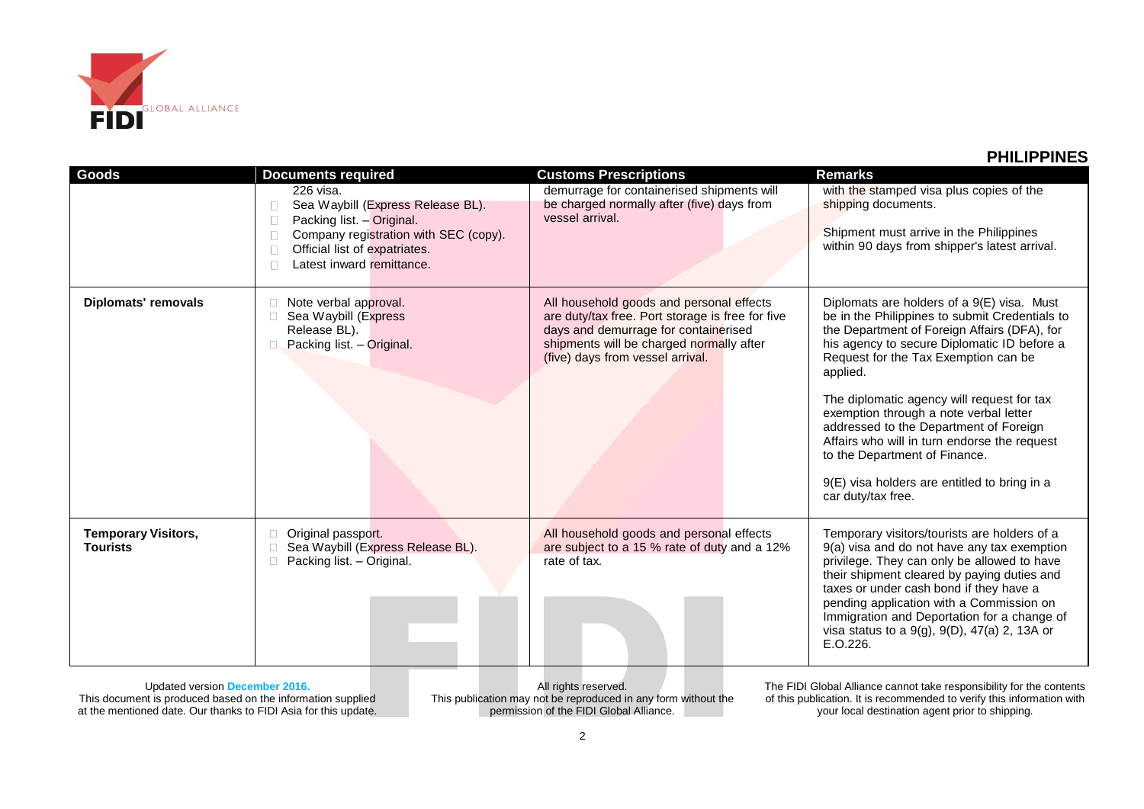

| <b>Goods</b>                                  | <b>Documents required</b>                                                                                                                                                          | <b>Customs Prescriptions</b>                                                                                                                                                                                         | <b>Remarks</b>                                                                                                                                                                                                                                                                                                                                                                                                                                                                                                                           |
|-----------------------------------------------|------------------------------------------------------------------------------------------------------------------------------------------------------------------------------------|----------------------------------------------------------------------------------------------------------------------------------------------------------------------------------------------------------------------|------------------------------------------------------------------------------------------------------------------------------------------------------------------------------------------------------------------------------------------------------------------------------------------------------------------------------------------------------------------------------------------------------------------------------------------------------------------------------------------------------------------------------------------|
|                                               | 226 visa.<br>Sea Waybill (Express Release BL).<br>Packing list. - Original.<br>Company registration with SEC (copy).<br>Official list of expatriates.<br>Latest inward remittance. | demurrage for containerised shipments will<br>be charged normally after (five) days from<br>vessel arrival.                                                                                                          | with the stamped visa plus copies of the<br>shipping documents.<br>Shipment must arrive in the Philippines<br>within 90 days from shipper's latest arrival.                                                                                                                                                                                                                                                                                                                                                                              |
| <b>Diplomats' removals</b>                    | Note verbal approval.<br>Sea Waybill (Express<br>Release BL).<br>Packing list. - Original.                                                                                         | All household goods and personal effects<br>are duty/tax free. Port storage is free for five<br>days and demurrage for containerised<br>shipments will be charged normally after<br>(five) days from vessel arrival. | Diplomats are holders of a 9(E) visa. Must<br>be in the Philippines to submit Credentials to<br>the Department of Foreign Affairs (DFA), for<br>his agency to secure Diplomatic ID before a<br>Request for the Tax Exemption can be<br>applied.<br>The diplomatic agency will request for tax<br>exemption through a note verbal letter<br>addressed to the Department of Foreign<br>Affairs who will in turn endorse the request<br>to the Department of Finance.<br>9(E) visa holders are entitled to bring in a<br>car duty/tax free. |
| <b>Temporary Visitors,</b><br><b>Tourists</b> | Original passport.<br>Sea Waybill (Express Release BL).<br>Packing list. - Original.                                                                                               | All household goods and personal effects<br>are subject to a 15 % rate of duty and a 12%<br>rate of tax.                                                                                                             | Temporary visitors/tourists are holders of a<br>9(a) visa and do not have any tax exemption<br>privilege. They can only be allowed to have<br>their shipment cleared by paying duties and<br>taxes or under cash bond if they have a<br>pending application with a Commission on<br>Immigration and Deportation for a change of<br>visa status to a 9(g), 9(D), 47(a) 2, 13A or<br>E.O.226.                                                                                                                                              |

Updated version **December 2016.** This document is produced based on the information supplied at the mentioned date. Our thanks to FIDI Asia for this update.

All rights reserved. This publication may not be reproduced in any form without the permission of the FIDI Global Alliance.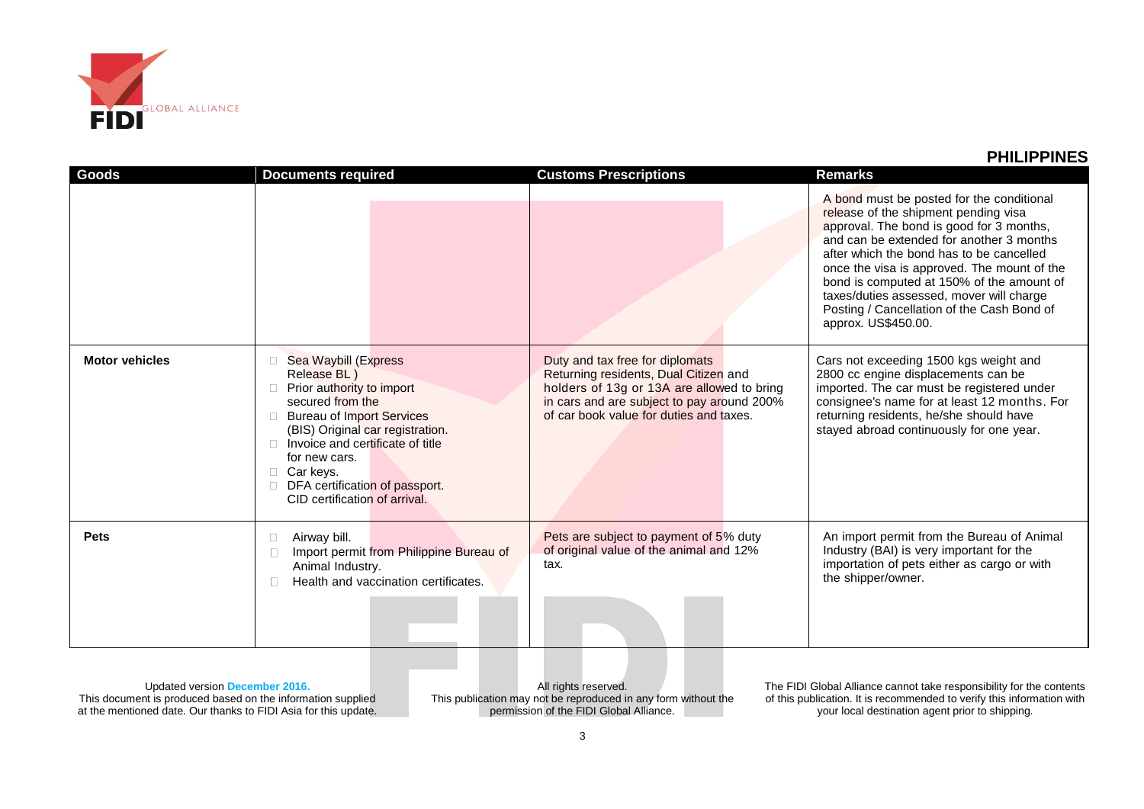

| Goods                 | <b>Documents required</b>                                                                                                                                                                                                                                                                                       | <b>Customs Prescriptions</b>                                                                                                                                                                                    | <b>Remarks</b>                                                                                                                                                                                                                                                                                                                                                                                                                     |
|-----------------------|-----------------------------------------------------------------------------------------------------------------------------------------------------------------------------------------------------------------------------------------------------------------------------------------------------------------|-----------------------------------------------------------------------------------------------------------------------------------------------------------------------------------------------------------------|------------------------------------------------------------------------------------------------------------------------------------------------------------------------------------------------------------------------------------------------------------------------------------------------------------------------------------------------------------------------------------------------------------------------------------|
|                       |                                                                                                                                                                                                                                                                                                                 |                                                                                                                                                                                                                 | A bond must be posted for the conditional<br>release of the shipment pending visa<br>approval. The bond is good for 3 months,<br>and can be extended for another 3 months<br>after which the bond has to be cancelled<br>once the visa is approved. The mount of the<br>bond is computed at 150% of the amount of<br>taxes/duties assessed, mover will charge<br>Posting / Cancellation of the Cash Bond of<br>approx. US\$450.00. |
| <b>Motor vehicles</b> | Sea Waybill (Express<br>Release BL)<br>Prior authority to import<br>secured from the<br><b>Bureau of Import Services</b><br>(BIS) Original car registration.<br>$\Box$ Invoice and certificate of title<br>for new cars.<br>$\Box$ Car keys.<br>DFA certification of passport.<br>CID certification of arrival. | Duty and tax free for diplomats<br>Returning residents, Dual Citizen and<br>holders of 13g or 13A are allowed to bring<br>in cars and are subject to pay around 200%<br>of car book value for duties and taxes. | Cars not exceeding 1500 kgs weight and<br>2800 cc engine displacements can be<br>imported. The car must be registered under<br>consignee's name for at least 12 months. For<br>returning residents, he/she should have<br>stayed abroad continuously for one year.                                                                                                                                                                 |
| <b>Pets</b>           | Airway bill.<br>$\Box$<br>Import permit from Philippine Bureau of<br>Animal Industry.<br>Health and vaccination certificates.                                                                                                                                                                                   | Pets are subject to payment of 5% duty<br>of original value of the animal and 12%<br>tax.                                                                                                                       | An import permit from the Bureau of Animal<br>Industry (BAI) is very important for the<br>importation of pets either as cargo or with<br>the shipper/owner.                                                                                                                                                                                                                                                                        |

Updated version **December 2016.** This document is produced based on the information supplied at the mentioned date. Our thanks to FIDI Asia for this update.

All rights reserved. This publication may not be reproduced in any form without the permission of the FIDI Global Alliance.